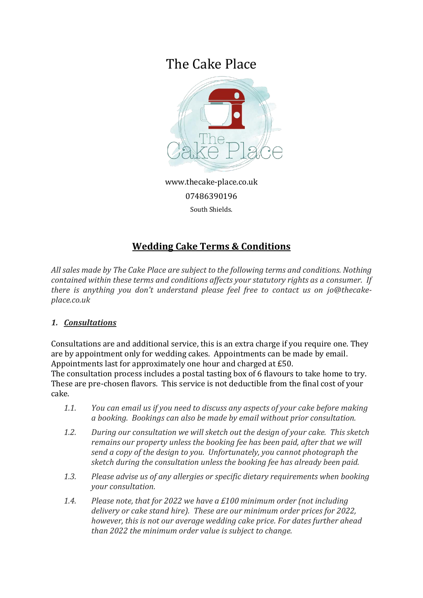# The Cake Place



www.thecake-place.co.uk 07486390196

South Shields.

# **Wedding Cake Terms & Conditions**

*All sales made by The Cake Place are subject to the following terms and conditions. Nothing contained within these terms and conditions affects your statutory rights as a consumer. If there is anything you don't understand please feel free to contact us on jo@thecakeplace.co.uk*

# *1. Consultations*

Consultations are and additional service, this is an extra charge if you require one. They are by appointment only for wedding cakes. Appointments can be made by email. Appointments last for approximately one hour and charged at £50.

The consultation process includes a postal tasting box of 6 flavours to take home to try. These are pre-chosen flavors. This service is not deductible from the final cost of your cake.

- *1.1. You can email us if you need to discuss any aspects of your cake before making a booking. Bookings can also be made by email without prior consultation.*
- *1.2. During our consultation we will sketch out the design of your cake. This sketch remains our property unless the booking fee has been paid, after that we will send a copy of the design to you. Unfortunately, you cannot photograph the sketch during the consultation unless the booking fee has already been paid.*
- *1.3. Please advise us of any allergies or specific dietary requirements when booking your consultation.*
- *1.4. Please note, that for 2022 we have a £100 minimum order (not including delivery or cake stand hire). These are our minimum order prices for 2022, however, this is not our average wedding cake price. For dates further ahead than 2022 the minimum order value is subject to change.*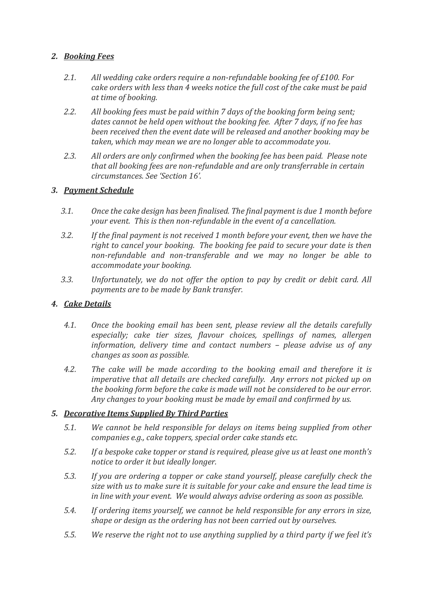# *2. Booking Fees*

- *2.1. All wedding cake orders require a non-refundable booking fee of £100. For cake orders with less than 4 weeks notice the full cost of the cake must be paid at time of booking.*
- *2.2. All booking fees must be paid within 7 days of the booking form being sent; dates cannot be held open without the booking fee. After 7 days, if no fee has been received then the event date will be released and another booking may be taken, which may mean we are no longer able to accommodate you.*
- *2.3. All orders are only confirmed when the booking fee has been paid. Please note that all booking fees are non-refundable and are only transferrable in certain circumstances. See 'Section 16'.*

# *3. Payment Schedule*

- *3.1. Once the cake design has been finalised. The final payment is due 1 month before your event. This is then non-refundable in the event of a cancellation.*
- *3.2. If the final payment is not received 1 month before your event, then we have the right to cancel your booking. The booking fee paid to secure your date is then non-refundable and non-transferable and we may no longer be able to accommodate your booking.*
- *3.3. Unfortunately, we do not offer the option to pay by credit or debit card. All payments are to be made by Bank transfer.*

#### *4. Cake Details*

- *4.1. Once the booking email has been sent, please review all the details carefully especially; cake tier sizes, flavour choices, spellings of names, allergen information, delivery time and contact numbers – please advise us of any changes as soon as possible.*
- *4.2. The cake will be made according to the booking email and therefore it is imperative that all details are checked carefully. Any errors not picked up on the booking form before the cake is made will not be considered to be our error. Any changes to your booking must be made by email and confirmed by us.*

#### *5. Decorative Items Supplied By Third Parties*

- *5.1. We cannot be held responsible for delays on items being supplied from other companies e.g., cake toppers, special order cake stands etc.*
- *5.2. If a bespoke cake topper or stand is required, please give us at least one month's notice to order it but ideally longer.*
- *5.3. If you are ordering a topper or cake stand yourself, please carefully check the size with us to make sure it is suitable for your cake and ensure the lead time is in line with your event. We would always advise ordering as soon as possible.*
- *5.4. If ordering items yourself, we cannot be held responsible for any errors in size, shape or design as the ordering has not been carried out by ourselves.*
- *5.5. We reserve the right not to use anything supplied by a third party if we feel it's*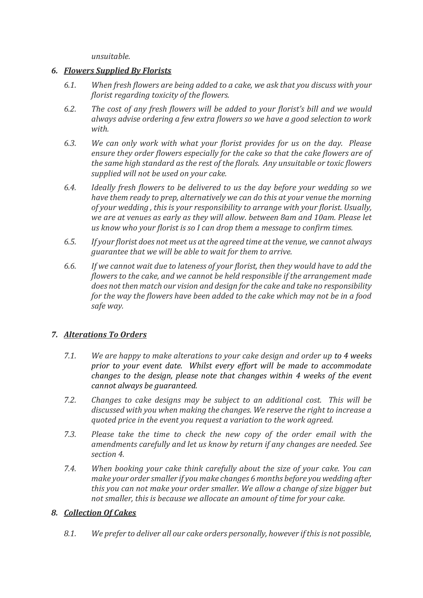*unsuitable.*

#### *6. Flowers Supplied By Florists*

- *6.1. When fresh flowers are being added to a cake, we ask that you discuss with your florist regarding toxicity of the flowers.*
- *6.2. The cost of any fresh flowers will be added to your florist's bill and we would always advise ordering a few extra flowers so we have a good selection to work with.*
- *6.3. We can only work with what your florist provides for us on the day. Please ensure they order flowers especially for the cake so that the cake flowers are of the same high standard as the rest of the florals. Any unsuitable or toxic flowers supplied will not be used on your cake.*
- *6.4. Ideally fresh flowers to be delivered to us the day before your wedding so we have them ready to prep, alternatively we can do this at your venue the morning of your wedding , this is your responsibility to arrange with your florist. Usually, we are at venues as early as they will allow. between 8am and 10am. Please let us know who your florist is so I can drop them a message to confirm times.*
- *6.5. If your florist does not meet us at the agreed time at the venue, we cannot always guarantee that we will be able to wait for them to arrive.*
- *6.6. If we cannot wait due to lateness of your florist, then they would have to add the flowers to the cake, and we cannot be held responsible if the arrangement made does not then match our vision and design for the cake and take no responsibility for the way the flowers have been added to the cake which may not be in a food safe way.*

# *7. Alterations To Orders*

- *7.1. We are happy to make alterations to your cake design and order up to 4 weeks prior to your event date. Whilst every effort will be made to accommodate changes to the design, please note that changes within 4 weeks of the event cannot always be guaranteed.*
- *7.2. Changes to cake designs may be subject to an additional cost. This will be discussed with you when making the changes. We reserve the right to increase a quoted price in the event you request a variation to the work agreed.*
- *7.3. Please take the time to check the new copy of the order email with the amendments carefully and let us know by return if any changes are needed. See section 4.*
- *7.4. When booking your cake think carefully about the size of your cake. You can make your order smaller if you make changes 6 months before you wedding after this you can not make your order smaller. We allow a change of size bigger but not smaller, this is because we allocate an amount of time for your cake.*

# *8. Collection Of Cakes*

*8.1. We prefer to deliver all our cake orders personally, however if this is not possible,*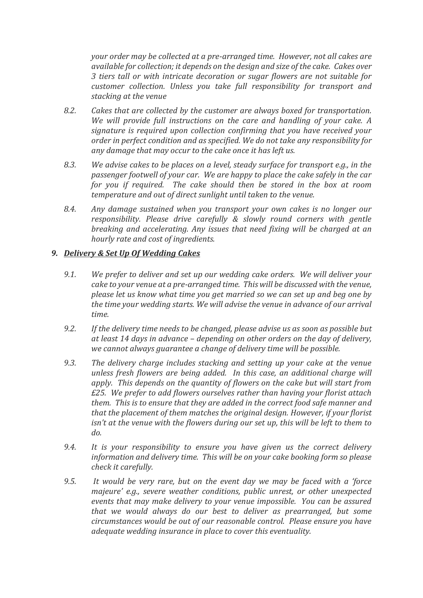*your order may be collected at a pre-arranged time. However, not all cakes are available for collection; it depends on the design and size of the cake. Cakes over 3 tiers tall or with intricate decoration or sugar flowers are not suitable for customer collection. Unless you take full responsibility for transport and stacking at the venue*

- *8.2. Cakes that are collected by the customer are always boxed for transportation. We will provide full instructions on the care and handling of your cake. A signature is required upon collection confirming that you have received your order in perfect condition and as specified. We do not take any responsibility for any damage that may occur to the cake once it has left us.*
- *8.3. We advise cakes to be places on a level, steady surface for transport e.g., in the passenger footwell of your car. We are happy to place the cake safely in the car for you if required. The cake should then be stored in the box at room temperature and out of direct sunlight until taken to the venue.*
- *8.4. Any damage sustained when you transport your own cakes is no longer our responsibility. Please drive carefully & slowly round corners with gentle breaking and accelerating. Any issues that need fixing will be charged at an hourly rate and cost of ingredients.*

#### *9. Delivery & Set Up Of Wedding Cakes*

- *9.1. We prefer to deliver and set up our wedding cake orders. We will deliver your cake to your venue at a pre-arranged time. This will be discussed with the venue, please let us know what time you get married so we can set up and beg one by the time your wedding starts. We will advise the venue in advance of our arrival time.*
- *9.2. If the delivery time needs to be changed, please advise us as soon as possible but at least 14 days in advance – depending on other orders on the day of delivery, we cannot always guarantee a change of delivery time will be possible.*
- *9.3. The delivery charge includes stacking and setting up your cake at the venue unless fresh flowers are being added. In this case, an additional charge will apply. This depends on the quantity of flowers on the cake but will start from £25. We prefer to add flowers ourselves rather than having your florist attach them. This is to ensure that they are added in the correct food safe manner and that the placement of them matches the original design. However, if your florist isn't at the venue with the flowers during our set up, this will be left to them to do.*
- *9.4. It is your responsibility to ensure you have given us the correct delivery information and delivery time. This will be on your cake booking form so please check it carefully.*
- *9.5. It would be very rare, but on the event day we may be faced with a 'force majeure' e.g., severe weather conditions, public unrest, or other unexpected events that may make delivery to your venue impossible. You can be assured that we would always do our best to deliver as prearranged, but some circumstances would be out of our reasonable control. Please ensure you have adequate wedding insurance in place to cover this eventuality.*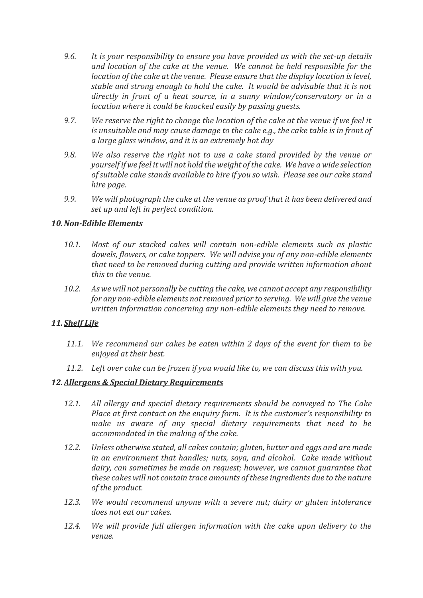- *9.6. It is your responsibility to ensure you have provided us with the set-up details and location of the cake at the venue. We cannot be held responsible for the location of the cake at the venue. Please ensure that the display location is level, stable and strong enough to hold the cake. It would be advisable that it is not directly in front of a heat source, in a sunny window/conservatory or in a location where it could be knocked easily by passing guests.*
- *9.7. We reserve the right to change the location of the cake at the venue if we feel it is unsuitable and may cause damage to the cake e.g., the cake table is in front of a large glass window, and it is an extremely hot day*
- *9.8. We also reserve the right not to use a cake stand provided by the venue or yourself if we feel it will not hold the weight of the cake. We have a wide selection of suitable cake stands available to hire if you so wish. Please see our cake stand hire page.*
- *9.9. We will photograph the cake at the venue as proof that it has been delivered and set up and left in perfect condition.*

#### *10.Non-Edible Elements*

- *10.1. Most of our stacked cakes will contain non-edible elements such as plastic dowels, flowers, or cake toppers. We will advise you of any non-edible elements that need to be removed during cutting and provide written information about this to the venue.*
- *10.2. As we will not personally be cutting the cake, we cannot accept any responsibility for any non-edible elements not removed prior to serving. We will give the venue written information concerning any non-edible elements they need to remove.*

# *11. Shelf Life*

- *11.1. We recommend our cakes be eaten within 2 days of the event for them to be enjoyed at their best.*
- *11.2. Left over cake can be frozen if you would like to, we can discuss this with you.*

#### *12.Allergens & Special Dietary Requirements*

- *12.1. All allergy and special dietary requirements should be conveyed to The Cake Place at first contact on the enquiry form. It is the customer's responsibility to make us aware of any special dietary requirements that need to be accommodated in the making of the cake.*
- *12.2. Unless otherwise stated, all cakes contain; gluten, butter and eggs and are made in an environment that handles; nuts, soya, and alcohol. Cake made without dairy, can sometimes be made on request; however, we cannot guarantee that these cakes will not contain trace amounts of these ingredients due to the nature of the product.*
- *12.3. We would recommend anyone with a severe nut; dairy or gluten intolerance does not eat our cakes.*
- *12.4. We will provide full allergen information with the cake upon delivery to the venue.*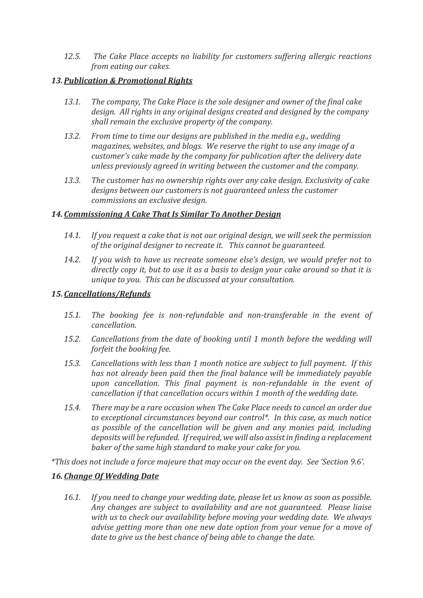*12.5. The Cake Place accepts no liability for customers suffering allergic reactions from eating our cakes.* 

#### *13.Publication & Promotional Rights*

- *13.1. The company, The Cake Place is the sole designer and owner of the final cake design. All rights in any original designs created and designed by the company shall remain the exclusive property of the company.*
- *13.2. From time to time our designs are published in the media e.g., wedding magazines, websites, and blogs. We reserve the right to use any image of a customer's cake made by the company for publication after the delivery date unless previously agreed in writing between the customer and the company.*
- *13.3. The customer has no ownership rights over any cake design. Exclusivity of cake designs between our customers is not guaranteed unless the customer commissions an exclusive design.*

#### *14.Commissioning A Cake That Is Similar To Another Design*

- *14.1. If you request a cake that is not our original design, we will seek the permission of the original designer to recreate it. This cannot be guaranteed.*
- *14.2. If you wish to have us recreate someone else's design, we would prefer not to directly copy it, but to use it as a basis to design your cake around so that it is unique to you. This can be discussed at your consultation.*

#### *15.Cancellations/Refunds*

- *15.1. The booking fee is non-refundable and non-transferable in the event of cancellation.*
- *15.2. Cancellations from the date of booking until 1 month before the wedding will forfeit the booking fee.*
- *15.3. Cancellations with less than 1 month notice are subject to full payment. If this has not already been paid then the final balance will be immediately payable upon cancellation. This final payment is non-refundable in the event of cancellation if that cancellation occurs within 1 month of the wedding date.*
- *15.4. There may be a rare occasion when The Cake Place needs to cancel an order due to exceptional circumstances beyond our control\*. In this case, as much notice as possible of the cancellation will be given and any monies paid, including deposits will be refunded. If required, we will also assist in finding a replacement baker of the same high standard to make your cake for you.*

*\*This does not include a force majeure that may occur on the event day. See 'Section 9.6'.*

# *16.Change Of Wedding Date*

*16.1. If you need to change your wedding date, please let us know as soon as possible. Any changes are subject to availability and are not guaranteed. Please liaise with us to check our availability before moving your wedding date. We always advise getting more than one new date option from your venue for a move of date to give us the best chance of being able to change the date.*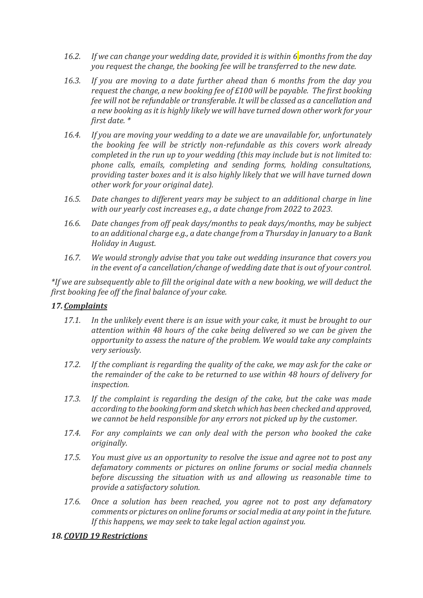- *16.2. If we can change your wedding date, provided it is within 6 months from the day you request the change, the booking fee will be transferred to the new date.*
- *16.3. If you are moving to a date further ahead than 6 months from the day you request the change, a new booking fee of £100 will be payable. The first booking fee will not be refundable or transferable. It will be classed as a cancellation and a new booking as it is highly likely we will have turned down other work for your first date. \**
- *16.4. If you are moving your wedding to a date we are unavailable for, unfortunately the booking fee will be strictly non-refundable as this covers work already completed in the run up to your wedding (this may include but is not limited to: phone calls, emails, completing and sending forms, holding consultations, providing taster boxes and it is also highly likely that we will have turned down other work for your original date).*
- *16.5. Date changes to different years may be subject to an additional charge in line with our yearly cost increases e.g., a date change from 2022 to 2023.*
- *16.6. Date changes from off peak days/months to peak days/months, may be subject to an additional charge e.g., a date change from a Thursday in January to a Bank Holiday in August.*
- *16.7. We would strongly advise that you take out wedding insurance that covers you in the event of a cancellation/change of wedding date that is out of your control.*

*\*If we are subsequently able to fill the original date with a new booking, we will deduct the first booking fee off the final balance of your cake.*

#### *17.Complaints*

- *17.1. In the unlikely event there is an issue with your cake, it must be brought to our attention within 48 hours of the cake being delivered so we can be given the opportunity to assess the nature of the problem. We would take any complaints very seriously.*
- *17.2. If the compliant is regarding the quality of the cake, we may ask for the cake or the remainder of the cake to be returned to use within 48 hours of delivery for inspection.*
- *17.3. If the complaint is regarding the design of the cake, but the cake was made according to the booking form and sketch which has been checked and approved, we cannot be held responsible for any errors not picked up by the customer.*
- *17.4. For any complaints we can only deal with the person who booked the cake originally.*
- *17.5. You must give us an opportunity to resolve the issue and agree not to post any defamatory comments or pictures on online forums or social media channels before discussing the situation with us and allowing us reasonable time to provide a satisfactory solution.*
- *17.6. Once a solution has been reached, you agree not to post any defamatory comments or pictures on online forums or social media at any point in the future. If this happens, we may seek to take legal action against you.*

#### *18.COVID 19 Restrictions*